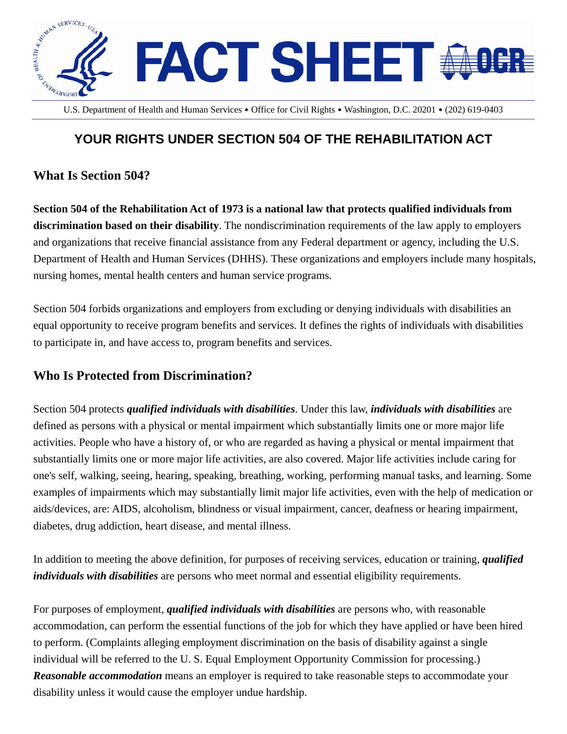

U.S. Department of Health and Human Services․Office for Civil Rights․Washington, D.C. 20201․(202) 619-0403

## **YOUR RIGHTS UNDER SECTION 504 OF THE REHABILITATION ACT**

## **What Is Section 504?**

**Section 504 of the Rehabilitation Act of 1973 is a national law that protects qualified individuals from discrimination based on their disability**. The nondiscrimination requirements of the law apply to employers and organizations that receive financial assistance from any Federal department or agency, including the U.S. Department of Health and Human Services (DHHS). These organizations and employers include many hospitals, nursing homes, mental health centers and human service programs.

Section 504 forbids organizations and employers from excluding or denying individuals with disabilities an equal opportunity to receive program benefits and services. It defines the rights of individuals with disabilities to participate in, and have access to, program benefits and services.

## **Who Is Protected from Discrimination?**

Section 504 protects *qualified individuals with disabilities*. Under this law, *individuals with disabilities* are defined as persons with a physical or mental impairment which substantially limits one or more major life activities. People who have a history of, or who are regarded as having a physical or mental impairment that substantially limits one or more major life activities, are also covered. Major life activities include caring for one's self, walking, seeing, hearing, speaking, breathing, working, performing manual tasks, and learning. Some examples of impairments which may substantially limit major life activities, even with the help of medication or aids/devices, are: AIDS, alcoholism, blindness or visual impairment, cancer, deafness or hearing impairment, diabetes, drug addiction, heart disease, and mental illness.

In addition to meeting the above definition, for purposes of receiving services, education or training, *qualified individuals with disabilities* are persons who meet normal and essential eligibility requirements.

For purposes of employment, *qualified individuals with disabilities* are persons who, with reasonable accommodation, can perform the essential functions of the job for which they have applied or have been hired to perform. (Complaints alleging employment discrimination on the basis of disability against a single individual will be referred to the U. S. Equal Employment Opportunity Commission for processing.) *Reasonable accommodation* means an employer is required to take reasonable steps to accommodate your disability unless it would cause the employer undue hardship.